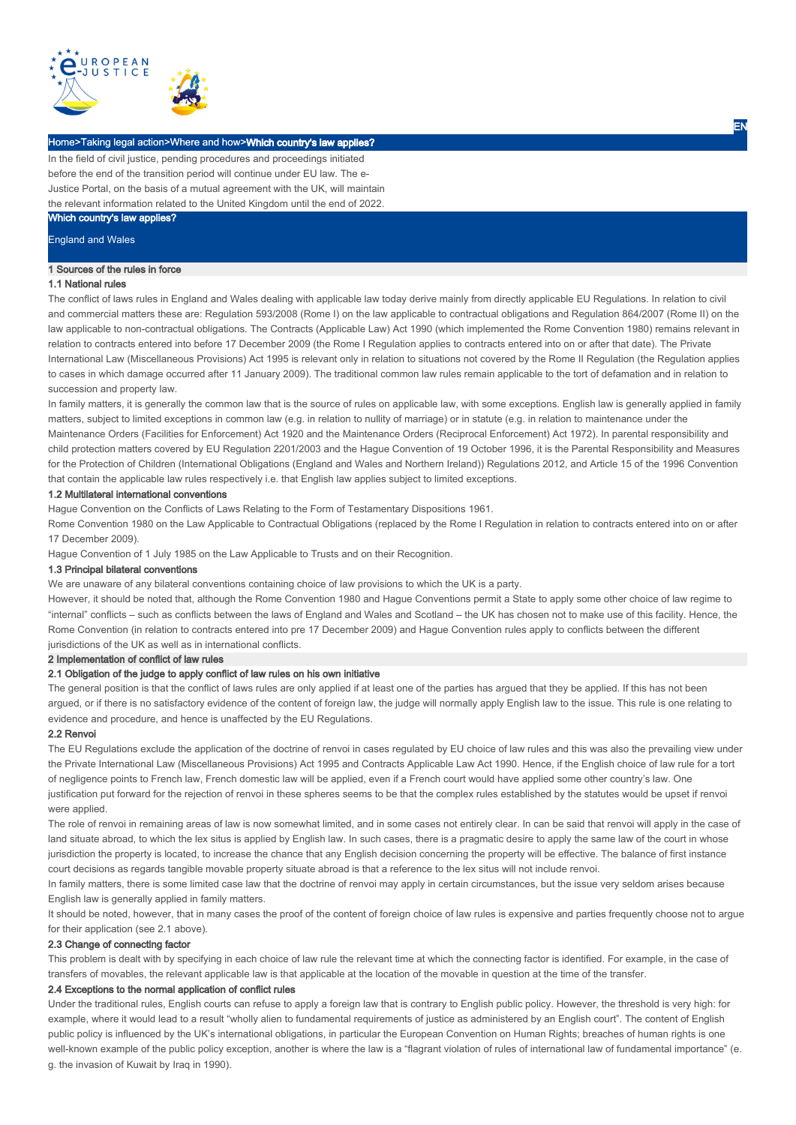

# Home>Taking legal action>Where and how>Which country's law applies?

In the field of civil justice, pending procedures and proceedings initiated before the end of the transition period will continue under EU law. The e-Justice Portal, on the basis of a mutual agreement with the UK, will maintain the relevant information related to the United Kingdom until the end of 2022.

# Which country's law applies?

England and Wales

# 1 Sources of the rules in force

# 1.1 National rules

The conflict of laws rules in England and Wales dealing with applicable law today derive mainly from directly applicable EU Regulations. In relation to civil and commercial matters these are: Regulation 593/2008 (Rome I) on the law applicable to contractual obligations and Regulation 864/2007 (Rome II) on the law applicable to non-contractual obligations. The Contracts (Applicable Law) Act 1990 (which implemented the Rome Convention 1980) remains relevant in relation to contracts entered into before 17 December 2009 (the Rome I Regulation applies to contracts entered into on or after that date). The Private International Law (Miscellaneous Provisions) Act 1995 is relevant only in relation to situations not covered by the Rome II Regulation (the Regulation applies to cases in which damage occurred after 11 January 2009). The traditional common law rules remain applicable to the tort of defamation and in relation to succession and property law.

In family matters, it is generally the common law that is the source of rules on applicable law, with some exceptions. English law is generally applied in family matters, subject to limited exceptions in common law (e.g. in relation to nullity of marriage) or in statute (e.g. in relation to maintenance under the Maintenance Orders (Facilities for Enforcement) Act 1920 and the Maintenance Orders (Reciprocal Enforcement) Act 1972). In parental responsibility and child protection matters covered by EU Regulation 2201/2003 and the Hague Convention of 19 October 1996, it is the Parental Responsibility and Measures for the Protection of Children (International Obligations (England and Wales and Northern Ireland)) Regulations 2012, and Article 15 of the 1996 Convention that contain the applicable law rules respectively i.e. that English law applies subject to limited exceptions.

# 1.2 Multilateral international conventions

Hague Convention on the Conflicts of Laws Relating to the Form of Testamentary Dispositions 1961.

Rome Convention 1980 on the Law Applicable to Contractual Obligations (replaced by the Rome I Regulation in relation to contracts entered into on or after 17 December 2009).

Hague Convention of 1 July 1985 on the Law Applicable to Trusts and on their Recognition.

# 1.3 Principal bilateral conventions

We are unaware of any bilateral conventions containing choice of law provisions to which the UK is a party.

However, it should be noted that, although the Rome Convention 1980 and Hague Conventions permit a State to apply some other choice of law regime to "internal" conflicts – such as conflicts between the laws of England and Wales and Scotland – the UK has chosen not to make use of this facility. Hence, the Rome Convention (in relation to contracts entered into pre 17 December 2009) and Hague Convention rules apply to conflicts between the different jurisdictions of the UK as well as in international conflicts.

# 2 Implementation of conflict of law rules

### 2.1 Obligation of the judge to apply conflict of law rules on his own initiative

The general position is that the conflict of laws rules are only applied if at least one of the parties has argued that they be applied. If this has not been argued, or if there is no satisfactory evidence of the content of foreign law, the judge will normally apply English law to the issue. This rule is one relating to evidence and procedure, and hence is unaffected by the EU Regulations.

## 2.2 Renvoi

The EU Regulations exclude the application of the doctrine of renvoi in cases regulated by EU choice of law rules and this was also the prevailing view under the Private International Law (Miscellaneous Provisions) Act 1995 and Contracts Applicable Law Act 1990. Hence, if the English choice of law rule for a tort of negligence points to French law, French domestic law will be applied, even if a French court would have applied some other country's law. One justification put forward for the rejection of renvoi in these spheres seems to be that the complex rules established by the statutes would be upset if renvoi were applied.

The role of renvoi in remaining areas of law is now somewhat limited, and in some cases not entirely clear. In can be said that renvoi will apply in the case of land situate abroad, to which the lex situs is applied by English law. In such cases, there is a pragmatic desire to apply the same law of the court in whose jurisdiction the property is located, to increase the chance that any English decision concerning the property will be effective. The balance of first instance court decisions as regards tangible movable property situate abroad is that a reference to the lex situs will not include renvoi.

In family matters, there is some limited case law that the doctrine of renvoi may apply in certain circumstances, but the issue very seldom arises because English law is generally applied in family matters.

It should be noted, however, that in many cases the proof of the content of foreign choice of law rules is expensive and parties frequently choose not to argue for their application (see 2.1 above).

## 2.3 Change of connecting factor

This problem is dealt with by specifying in each choice of law rule the relevant time at which the connecting factor is identified. For example, in the case of transfers of movables, the relevant applicable law is that applicable at the location of the movable in question at the time of the transfer.

# 2.4 Exceptions to the normal application of conflict rules

Under the traditional rules, English courts can refuse to apply a foreign law that is contrary to English public policy. However, the threshold is very high: for example, where it would lead to a result "wholly alien to fundamental requirements of justice as administered by an English court". The content of English public policy is influenced by the UK's international obligations, in particular the European Convention on Human Rights; breaches of human rights is one well-known example of the public policy exception, another is where the law is a "flagrant violation of rules of international law of fundamental importance" (e. g. the invasion of Kuwait by Iraq in 1990).

EN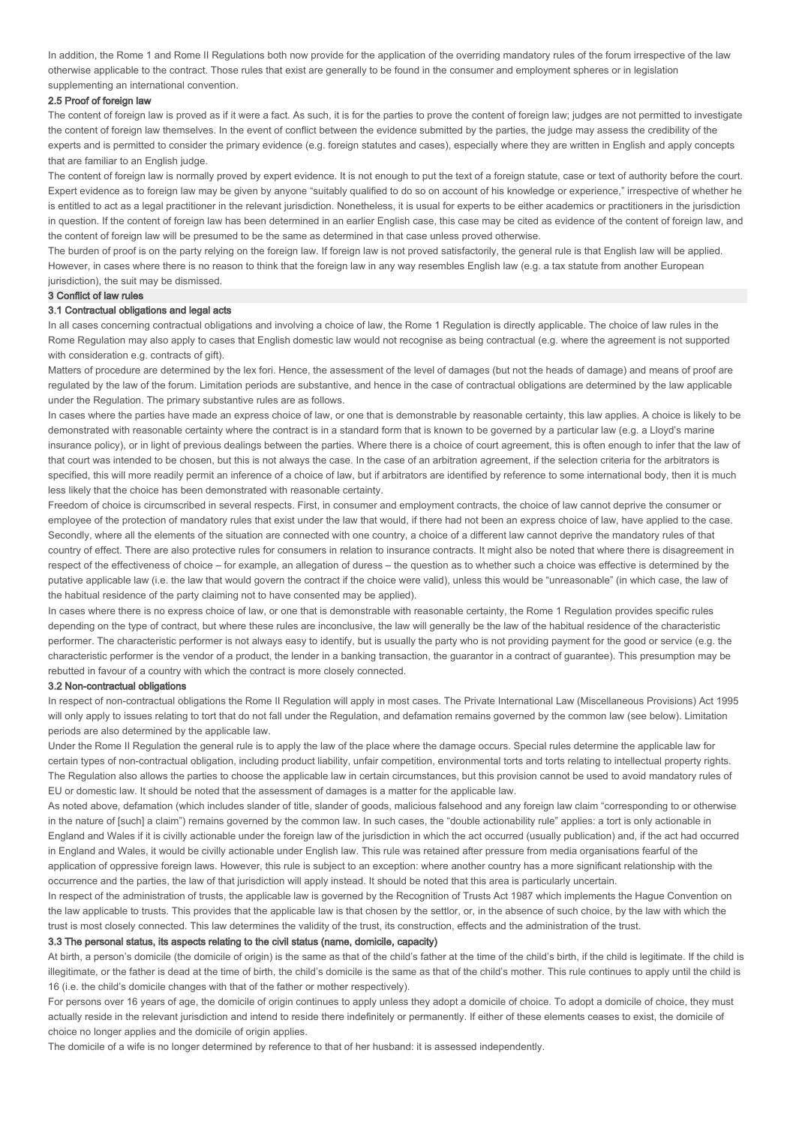In addition, the Rome 1 and Rome II Regulations both now provide for the application of the overriding mandatory rules of the forum irrespective of the law otherwise applicable to the contract. Those rules that exist are generally to be found in the consumer and employment spheres or in legislation supplementing an international convention.

### 2.5 Proof of foreign law

The content of foreign law is proved as if it were a fact. As such, it is for the parties to prove the content of foreign law; judges are not permitted to investigate the content of foreign law themselves. In the event of conflict between the evidence submitted by the parties, the judge may assess the credibility of the experts and is permitted to consider the primary evidence (e.g. foreign statutes and cases), especially where they are written in English and apply concepts that are familiar to an English judge.

The content of foreign law is normally proved by expert evidence. It is not enough to put the text of a foreign statute, case or text of authority before the court. Expert evidence as to foreign law may be given by anyone "suitably qualified to do so on account of his knowledge or experience," irrespective of whether he is entitled to act as a legal practitioner in the relevant jurisdiction. Nonetheless, it is usual for experts to be either academics or practitioners in the jurisdiction in question. If the content of foreign law has been determined in an earlier English case, this case may be cited as evidence of the content of foreign law, and the content of foreign law will be presumed to be the same as determined in that case unless proved otherwise.

The burden of proof is on the party relying on the foreign law. If foreign law is not proved satisfactorily, the general rule is that English law will be applied. However, in cases where there is no reason to think that the foreign law in any way resembles English law (e.g. a tax statute from another European jurisdiction), the suit may be dismissed.

#### 3 Conflict of law rules

#### 3.1 Contractual obligations and legal acts

In all cases concerning contractual obligations and involving a choice of law, the Rome 1 Regulation is directly applicable. The choice of law rules in the Rome Regulation may also apply to cases that English domestic law would not recognise as being contractual (e.g. where the agreement is not supported with consideration e.g. contracts of gift).

Matters of procedure are determined by the lex fori. Hence, the assessment of the level of damages (but not the heads of damage) and means of proof are regulated by the law of the forum. Limitation periods are substantive, and hence in the case of contractual obligations are determined by the law applicable under the Regulation. The primary substantive rules are as follows.

In cases where the parties have made an express choice of law, or one that is demonstrable by reasonable certainty, this law applies. A choice is likely to be demonstrated with reasonable certainty where the contract is in a standard form that is known to be governed by a particular law (e.g. a Lloyd's marine insurance policy), or in light of previous dealings between the parties. Where there is a choice of court agreement, this is often enough to infer that the law of that court was intended to be chosen, but this is not always the case. In the case of an arbitration agreement, if the selection criteria for the arbitrators is specified, this will more readily permit an inference of a choice of law, but if arbitrators are identified by reference to some international body, then it is much less likely that the choice has been demonstrated with reasonable certainty.

Freedom of choice is circumscribed in several respects. First, in consumer and employment contracts, the choice of law cannot deprive the consumer or employee of the protection of mandatory rules that exist under the law that would, if there had not been an express choice of law, have applied to the case. Secondly, where all the elements of the situation are connected with one country, a choice of a different law cannot deprive the mandatory rules of that country of effect. There are also protective rules for consumers in relation to insurance contracts. It might also be noted that where there is disagreement in respect of the effectiveness of choice – for example, an allegation of duress – the question as to whether such a choice was effective is determined by the putative applicable law (i.e. the law that would govern the contract if the choice were valid), unless this would be "unreasonable" (in which case, the law of the habitual residence of the party claiming not to have consented may be applied).

In cases where there is no express choice of law, or one that is demonstrable with reasonable certainty, the Rome 1 Regulation provides specific rules depending on the type of contract, but where these rules are inconclusive, the law will generally be the law of the habitual residence of the characteristic performer. The characteristic performer is not always easy to identify, but is usually the party who is not providing payment for the good or service (e.g. the characteristic performer is the vendor of a product, the lender in a banking transaction, the guarantor in a contract of guarantee). This presumption may be rebutted in favour of a country with which the contract is more closely connected.

#### 3.2 Non-contractual obligations

In respect of non-contractual obligations the Rome II Regulation will apply in most cases. The Private International Law (Miscellaneous Provisions) Act 1995 will only apply to issues relating to tort that do not fall under the Regulation, and defamation remains governed by the common law (see below). Limitation periods are also determined by the applicable law.

Under the Rome II Regulation the general rule is to apply the law of the place where the damage occurs. Special rules determine the applicable law for certain types of non-contractual obligation, including product liability, unfair competition, environmental torts and torts relating to intellectual property rights. The Regulation also allows the parties to choose the applicable law in certain circumstances, but this provision cannot be used to avoid mandatory rules of EU or domestic law. It should be noted that the assessment of damages is a matter for the applicable law.

As noted above, defamation (which includes slander of title, slander of goods, malicious falsehood and any foreign law claim "corresponding to or otherwise in the nature of [such] a claim") remains governed by the common law. In such cases, the "double actionability rule" applies: a tort is only actionable in England and Wales if it is civilly actionable under the foreign law of the jurisdiction in which the act occurred (usually publication) and, if the act had occurred in England and Wales, it would be civilly actionable under English law. This rule was retained after pressure from media organisations fearful of the application of oppressive foreign laws. However, this rule is subject to an exception: where another country has a more significant relationship with the occurrence and the parties, the law of that jurisdiction will apply instead. It should be noted that this area is particularly uncertain.

In respect of the administration of trusts, the applicable law is governed by the Recognition of Trusts Act 1987 which implements the Hague Convention on the law applicable to trusts. This provides that the applicable law is that chosen by the settlor, or, in the absence of such choice, by the law with which the trust is most closely connected. This law determines the validity of the trust, its construction, effects and the administration of the trust.

# 3.3 The personal status, its aspects relating to the civil status (name, domicile, capacity)

At birth, a person's domicile (the domicile of origin) is the same as that of the child's father at the time of the child's birth, if the child is legitimate. If the child is illegitimate, or the father is dead at the time of birth, the child's domicile is the same as that of the child's mother. This rule continues to apply until the child is 16 (i.e. the child's domicile changes with that of the father or mother respectively).

For persons over 16 years of age, the domicile of origin continues to apply unless they adopt a domicile of choice. To adopt a domicile of choice, they must actually reside in the relevant jurisdiction and intend to reside there indefinitely or permanently. If either of these elements ceases to exist, the domicile of choice no longer applies and the domicile of origin applies.

The domicile of a wife is no longer determined by reference to that of her husband: it is assessed independently.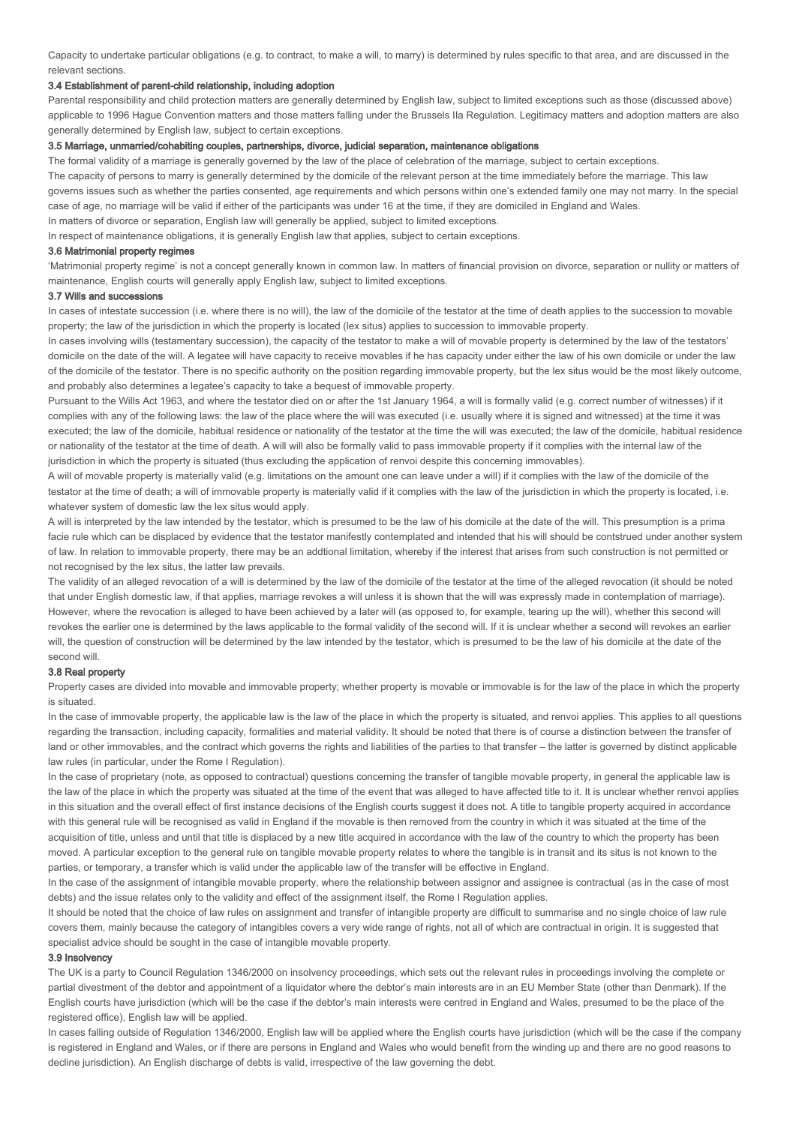Capacity to undertake particular obligations (e.g. to contract, to make a will, to marry) is determined by rules specific to that area, and are discussed in the relevant sections.

### 3.4 Establishment of parent-child relationship, including adoption

Parental responsibility and child protection matters are generally determined by English law, subject to limited exceptions such as those (discussed above) applicable to 1996 Hague Convention matters and those matters falling under the Brussels IIa Regulation. Legitimacy matters and adoption matters are also generally determined by English law, subject to certain exceptions.

### 3.5 Marriage, unmarried/cohabiting couples, partnerships, divorce, judicial separation, maintenance obligations

The formal validity of a marriage is generally governed by the law of the place of celebration of the marriage, subject to certain exceptions.

The capacity of persons to marry is generally determined by the domicile of the relevant person at the time immediately before the marriage. This law governs issues such as whether the parties consented, age requirements and which persons within one's extended family one may not marry. In the special case of age, no marriage will be valid if either of the participants was under 16 at the time, if they are domiciled in England and Wales. In matters of divorce or separation, English law will generally be applied, subject to limited exceptions.

In respect of maintenance obligations, it is generally English law that applies, subject to certain exceptions.

#### 3.6 Matrimonial property regimes

'Matrimonial property regime' is not a concept generally known in common law. In matters of financial provision on divorce, separation or nullity or matters of maintenance, English courts will generally apply English law, subject to limited exceptions.

#### 3.7 Wills and successions

In cases of intestate succession (i.e. where there is no will), the law of the domicile of the testator at the time of death applies to the succession to movable property; the law of the jurisdiction in which the property is located (lex situs) applies to succession to immovable property.

In cases involving wills (testamentary succession), the capacity of the testator to make a will of movable property is determined by the law of the testators' domicile on the date of the will. A legatee will have capacity to receive movables if he has capacity under either the law of his own domicile or under the law of the domicile of the testator. There is no specific authority on the position regarding immovable property, but the lex situs would be the most likely outcome, and probably also determines a legatee's capacity to take a bequest of immovable property.

Pursuant to the Wills Act 1963, and where the testator died on or after the 1st January 1964, a will is formally valid (e.g. correct number of witnesses) if it complies with any of the following laws: the law of the place where the will was executed (i.e. usually where it is signed and witnessed) at the time it was executed; the law of the domicile, habitual residence or nationality of the testator at the time the will was executed; the law of the domicile, habitual residence or nationality of the testator at the time of death. A will will also be formally valid to pass immovable property if it complies with the internal law of the jurisdiction in which the property is situated (thus excluding the application of renvoi despite this concerning immovables).

A will of movable property is materially valid (e.g. limitations on the amount one can leave under a will) if it complies with the law of the domicile of the testator at the time of death; a will of immovable property is materially valid if it complies with the law of the jurisdiction in which the property is located, i.e. whatever system of domestic law the lex situs would apply.

A will is interpreted by the law intended by the testator, which is presumed to be the law of his domicile at the date of the will. This presumption is a prima facie rule which can be displaced by evidence that the testator manifestly contemplated and intended that his will should be contstrued under another system of law. In relation to immovable property, there may be an addtional limitation, whereby if the interest that arises from such construction is not permitted or not recognised by the lex situs, the latter law prevails.

The validity of an alleged revocation of a will is determined by the law of the domicile of the testator at the time of the alleged revocation (it should be noted that under English domestic law, if that applies, marriage revokes a will unless it is shown that the will was expressly made in contemplation of marriage). However, where the revocation is alleged to have been achieved by a later will (as opposed to, for example, tearing up the will), whether this second will revokes the earlier one is determined by the laws applicable to the formal validity of the second will. If it is unclear whether a second will revokes an earlier will, the question of construction will be determined by the law intended by the testator, which is presumed to be the law of his domicile at the date of the second will.

## 3.8 Real property

Property cases are divided into movable and immovable property; whether property is movable or immovable is for the law of the place in which the property is situated.

In the case of immovable property, the applicable law is the law of the place in which the property is situated, and renvoi applies. This applies to all questions regarding the transaction, including capacity, formalities and material validity. It should be noted that there is of course a distinction between the transfer of land or other immovables, and the contract which governs the rights and liabilities of the parties to that transfer – the latter is governed by distinct applicable law rules (in particular, under the Rome I Regulation).

In the case of proprietary (note, as opposed to contractual) questions concerning the transfer of tangible movable property, in general the applicable law is the law of the place in which the property was situated at the time of the event that was alleged to have affected title to it. It is unclear whether renvoi applies in this situation and the overall effect of first instance decisions of the English courts suggest it does not. A title to tangible property acquired in accordance with this general rule will be recognised as valid in England if the movable is then removed from the country in which it was situated at the time of the acquisition of title, unless and until that title is displaced by a new title acquired in accordance with the law of the country to which the property has been moved. A particular exception to the general rule on tangible movable property relates to where the tangible is in transit and its situs is not known to the parties, or temporary, a transfer which is valid under the applicable law of the transfer will be effective in England.

In the case of the assignment of intangible movable property, where the relationship between assignor and assignee is contractual (as in the case of most debts) and the issue relates only to the validity and effect of the assignment itself, the Rome I Regulation applies.

It should be noted that the choice of law rules on assignment and transfer of intangible property are difficult to summarise and no single choice of law rule covers them, mainly because the category of intangibles covers a very wide range of rights, not all of which are contractual in origin. It is suggested that specialist advice should be sought in the case of intangible movable property.

### 3.9 Insolvency

The UK is a party to Council Regulation 1346/2000 on insolvency proceedings, which sets out the relevant rules in proceedings involving the complete or partial divestment of the debtor and appointment of a liquidator where the debtor's main interests are in an EU Member State (other than Denmark). If the English courts have jurisdiction (which will be the case if the debtor's main interests were centred in England and Wales, presumed to be the place of the registered office), English law will be applied.

In cases falling outside of Regulation 1346/2000, English law will be applied where the English courts have jurisdiction (which will be the case if the company is registered in England and Wales, or if there are persons in England and Wales who would benefit from the winding up and there are no good reasons to decline jurisdiction). An English discharge of debts is valid, irrespective of the law governing the debt.